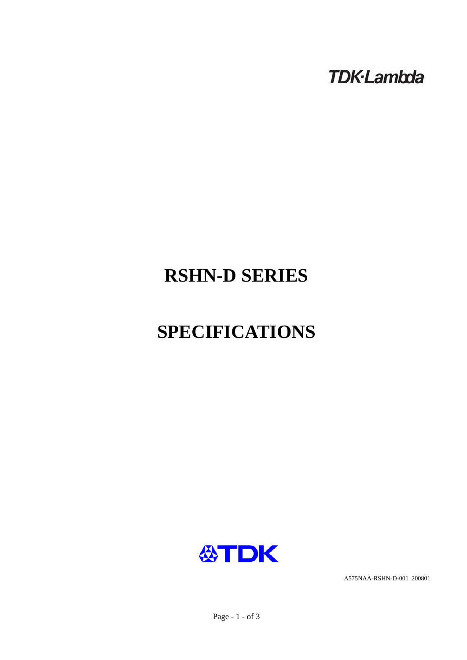**TDK-Lambda** 

# **RSHN-D SERIES**

# **SPECIFICATIONS**



A575NAA-RSHN-D-001 200801

Page - 1 - of 3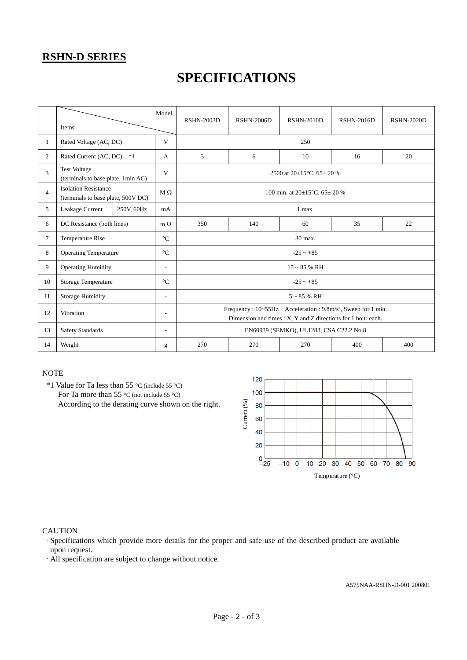### **RSHN-D SERIES**

## **SPECIFICATIONS**

|                | Model<br>Items                                                    |            | <b>RSHN-2003D</b>                                                                                                                                        | <b>RSHN-2006D</b>                            | <b>RSHN-2010D</b> | <b>RSHN-2016D</b> | <b>RSHN-2020D</b> |  |
|----------------|-------------------------------------------------------------------|------------|----------------------------------------------------------------------------------------------------------------------------------------------------------|----------------------------------------------|-------------------|-------------------|-------------------|--|
| 1              | Rated Voltage (AC, DC)                                            |            |                                                                                                                                                          | 250                                          |                   |                   |                   |  |
| 2              | Rated Current (AC, DC)<br>$*1$                                    |            | 3                                                                                                                                                        | 6                                            | 10                | 16                | 20                |  |
| 3              | <b>Test Voltage</b><br>(terminals to base plate, 1min AC)         |            |                                                                                                                                                          | 2500 at $20\pm15^{\circ}$ C, $65\pm20\%$     |                   |                   |                   |  |
| $\overline{4}$ | <b>Isolation Resistance</b><br>(terminals to base plate, 500V DC) |            | $M \Omega$                                                                                                                                               | 100 min. at $20\pm15^{\circ}$ C, $65\pm20$ % |                   |                   |                   |  |
| 5              | Leakage Current<br>250V, 60Hz                                     |            |                                                                                                                                                          | 1 max.                                       |                   |                   |                   |  |
| 6              | DC Resistance (both lines)                                        | $m \Omega$ | 350                                                                                                                                                      | 140                                          | 60                | 35                | 22                |  |
| $\tau$         | <b>Temperature Rise</b>                                           |            | 30 max.                                                                                                                                                  |                                              |                   |                   |                   |  |
| 8              | <b>Operating Temperature</b>                                      |            | $-25 - +85$                                                                                                                                              |                                              |                   |                   |                   |  |
| 9              | <b>Operating Humidity</b>                                         |            | $15 \sim 85$ % RH                                                                                                                                        |                                              |                   |                   |                   |  |
| 10             | <b>Storage Temperature</b>                                        |            | $-25 - +85$                                                                                                                                              |                                              |                   |                   |                   |  |
| 11             | <b>Storage Humidity</b>                                           |            | $5 \sim 85$ % RH                                                                                                                                         |                                              |                   |                   |                   |  |
| 12             | Vibration                                                         |            | Frequency : $10 \sim 55$ Hz Acceleration : $9.8$ m/s <sup>2</sup> , Sweep for 1 min.<br>Dimension and times $: X, Y$ and $Z$ directions for 1 hour each. |                                              |                   |                   |                   |  |
| 13             | <b>Safety Standards</b>                                           |            |                                                                                                                                                          | EN60939 (SEMKO), UL1283, CSA C22.2 No.8      |                   |                   |                   |  |
| 14             | Weight                                                            |            | 270                                                                                                                                                      | 270                                          | 270               | 400               | 400               |  |

#### **NOTE**

 \*1 Value for Ta less than 55 °C (include 55 °C) For Ta more than 55 °C (not include 55 °C) According to the derating curve shown on the right.



#### **CAUTION**

·Specifications which provide more details for the proper and safe use of the described product are available upon request.

·All specification are subject to change without notice.

A575NAA-RSHN-D-001 200801